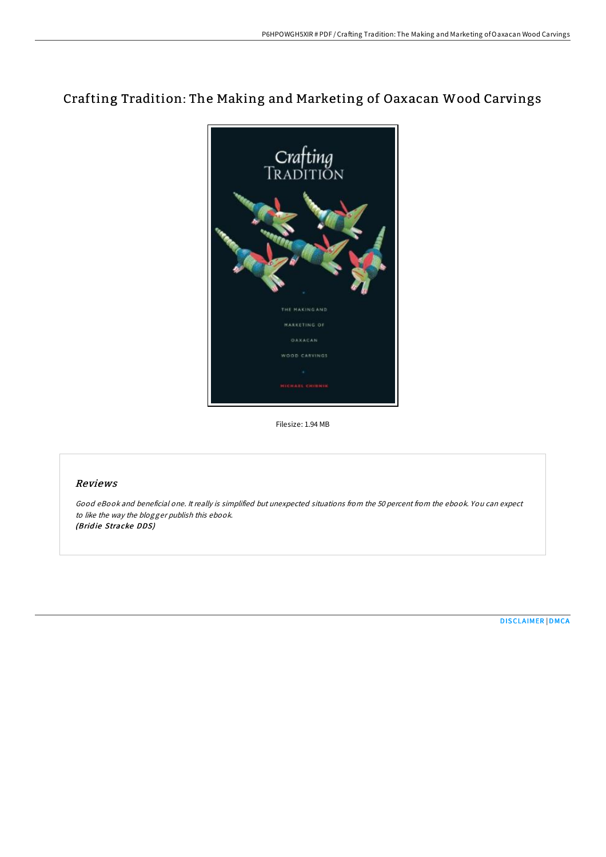## Crafting Tradition: The Making and Marketing of Oaxacan Wood Carvings



Filesize: 1.94 MB

## Reviews

Good eBook and beneficial one. It really is simplified but unexpected situations from the 50 percent from the ebook. You can expect to like the way the blogger publish this ebook. (Bridie Stracke DDS)

[DISCLAIMER](http://almighty24.tech/disclaimer.html) | [DMCA](http://almighty24.tech/dmca.html)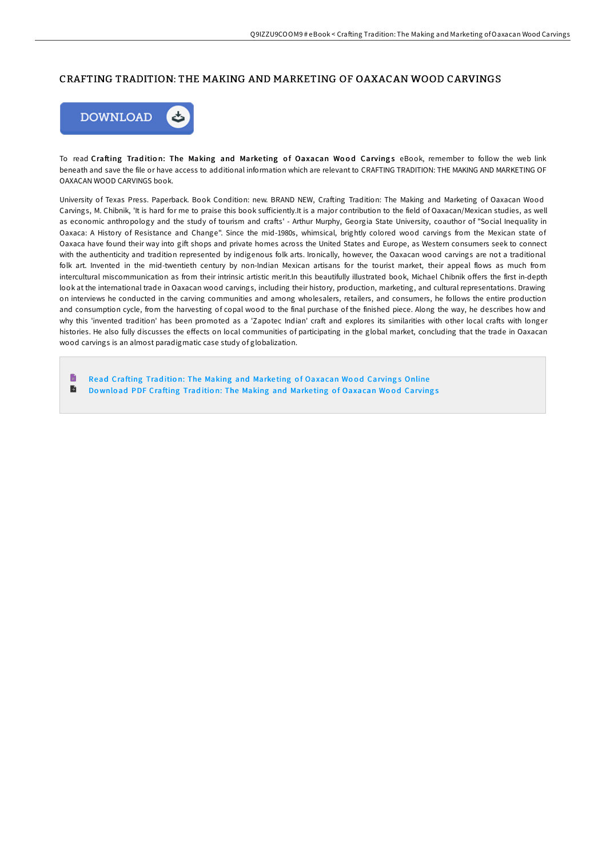## CRAFTING TRADITION: THE MAKING AND MARKETING OF OAXACAN WOOD CARVINGS



To read Crafting Tradition: The Making and Marketing of Oaxacan Wood Carvings eBook, remember to follow the web link beneath and save the file or have access to additional information which are relevant to CRAFTING TRADITION: THE MAKING AND MARKETING OF OAXACAN WOOD CARVINGS book.

University of Texas Press. Paperback. Book Condition: new. BRAND NEW, Crafting Tradition: The Making and Marketing of Oaxacan Wood Carvings, M. Chibnik, 'It is hard for me to praise this book sufficiently.It is a major contribution to the field of Oaxacan/Mexican studies, as well as economic anthropology and the study of tourism and crafts' - Arthur Murphy, Georgia State University, coauthor of "Social Inequality in Oaxaca: A History of Resistance and Change". Since the mid-1980s, whimsical, brightly colored wood carvings from the Mexican state of Oaxaca have found their way into gift shops and private homes across the United States and Europe, as Western consumers seek to connect with the authenticity and tradition represented by indigenous folk arts. Ironically, however, the Oaxacan wood carvings are not a traditional folk art. Invented in the mid-twentieth century by non-Indian Mexican artisans for the tourist market, their appeal flows as much from intercultural miscommunication as from their intrinsic artistic merit.In this beautifully illustrated book, Michael Chibnik offers the first in-depth look at the international trade in Oaxacan wood carvings, including their history, production, marketing, and cultural representations. Drawing on interviews he conducted in the carving communities and among wholesalers, retailers, and consumers, he follows the entire production and consumption cycle, from the harvesting of copal wood to the final purchase of the finished piece. Along the way, he describes how and why this 'invented tradition' has been promoted as a 'Zapotec Indian' craft and explores its similarities with other local crafts with longer histories. He also fully discusses the effects on local communities of participating in the global market, concluding that the trade in Oaxacan wood carvings is an almost paradigmatic case study of globalization.

B Read Crafting Tradition: The Making and Marketing of [Oaxacan](http://almighty24.tech/crafting-tradition-the-making-and-marketing-of-o.html) Wood Carvings Online  $\blacksquare$ Download PDF Crafting Tradition: The Making and Marketing of [Oaxacan](http://almighty24.tech/crafting-tradition-the-making-and-marketing-of-o.html) Wood Carvings